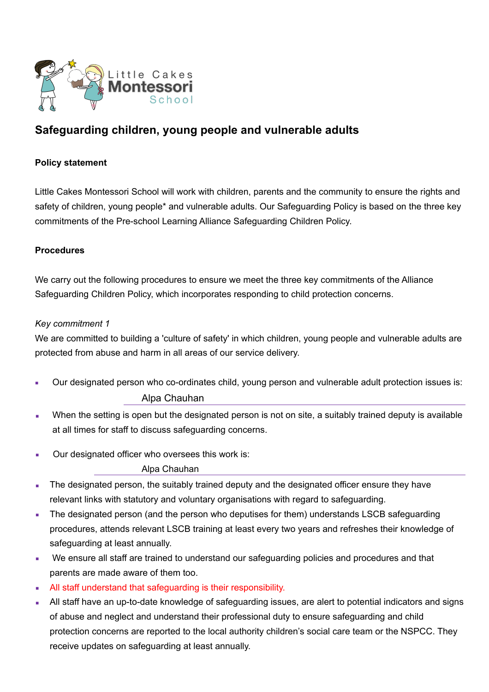

# **Safeguarding children, young people and vulnerable adults**

### **Policy statement**

Little Cakes Montessori School will work with children, parents and the community to ensure the rights and safety of children, young people\* and vulnerable adults. Our Safeguarding Policy is based on the three key commitments of the Pre-school Learning Alliance Safeguarding Children Policy.

#### **Procedures**

We carry out the following procedures to ensure we meet the three key commitments of the Alliance Safeguarding Children Policy, which incorporates responding to child protection concerns.

#### *Key commitment 1*

We are committed to building a 'culture of safety' in which children, young people and vulnerable adults are protected from abuse and harm in all areas of our service delivery.

- Our designated person who co-ordinates child, young person and vulnerable adult protection issues is: Alpa Chauhan
- When the setting is open but the designated person is not on site, a suitably trained deputy is available at all times for staff to discuss safeguarding concerns.
- Our designated officer who oversees this work is:

Alpa Chauhan

- The designated person, the suitably trained deputy and the designated officer ensure they have relevant links with statutory and voluntary organisations with regard to safeguarding.
- The designated person (and the person who deputises for them) understands LSCB safeguarding procedures, attends relevant LSCB training at least every two years and refreshes their knowledge of safeguarding at least annually.
- We ensure all staff are trained to understand our safeguarding policies and procedures and that parents are made aware of them too.
- **EXECUTE:** All staff understand that safeguarding is their responsibility.
- All staff have an up-to-date knowledge of safeguarding issues, are alert to potential indicators and signs of abuse and neglect and understand their professional duty to ensure safeguarding and child protection concerns are reported to the local authority children's social care team or the NSPCC. They receive updates on safeguarding at least annually.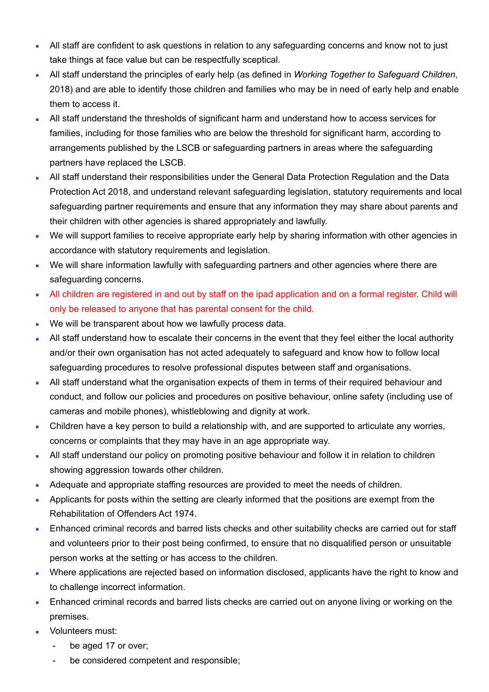- All staff are confident to ask questions in relation to any safeguarding concerns and know not to just take things at face value but can be respectfully sceptical.
- All staff understand the principles of early help (as defined in *Working Together to Safeguard Children*, 2018) and are able to identify those children and families who may be in need of early help and enable them to access it.
- All staff understand the thresholds of significant harm and understand how to access services for families, including for those families who are below the threshold for significant harm, according to arrangements published by the LSCB or safeguarding partners in areas where the safeguarding partners have replaced the LSCB.
- All staff understand their responsibilities under the General Data Protection Regulation and the Data Protection Act 2018, and understand relevant safeguarding legislation, statutory requirements and local safeguarding partner requirements and ensure that any information they may share about parents and their children with other agencies is shared appropriately and lawfully.
- We will support families to receive appropriate early help by sharing information with other agencies in accordance with statutory requirements and legislation.
- We will share information lawfully with safeguarding partners and other agencies where there are safeguarding concerns.
- All children are registered in and out by staff on the ipad application and on a formal register. Child will only be released to anyone that has parental consent for the child.
- We will be transparent about how we lawfully process data.
- All staff understand how to escalate their concerns in the event that they feel either the local authority and/or their own organisation has not acted adequately to safeguard and know how to follow local safeguarding procedures to resolve professional disputes between staff and organisations.
- **EXTER 15 All staff understand what the organisation expects of them in terms of their required behaviour and** conduct, and follow our policies and procedures on positive behaviour, online safety (including use of cameras and mobile phones), whistleblowing and dignity at work.
- Children have a key person to build a relationship with, and are supported to articulate any worries, concerns or complaints that they may have in an age appropriate way.
- All staff understand our policy on promoting positive behaviour and follow it in relation to children showing aggression towards other children.
- Adequate and appropriate staffing resources are provided to meet the needs of children.
- **Applicants for posts within the setting are clearly informed that the positions are exempt from the** Rehabilitation of Offenders Act 1974.
- **Enhanced criminal records and barred lists checks and other suitability checks are carried out for staff** and volunteers prior to their post being confirmed, to ensure that no disqualified person or unsuitable person works at the setting or has access to the children.
- Where applications are rejected based on information disclosed, applicants have the right to know and to challenge incorrect information.
- **Enhanced criminal records and barred lists checks are carried out on anyone living or working on the** premises.
- **•** Volunteers must:
	- **-** be aged 17 or over;
	- **-** be considered competent and responsible;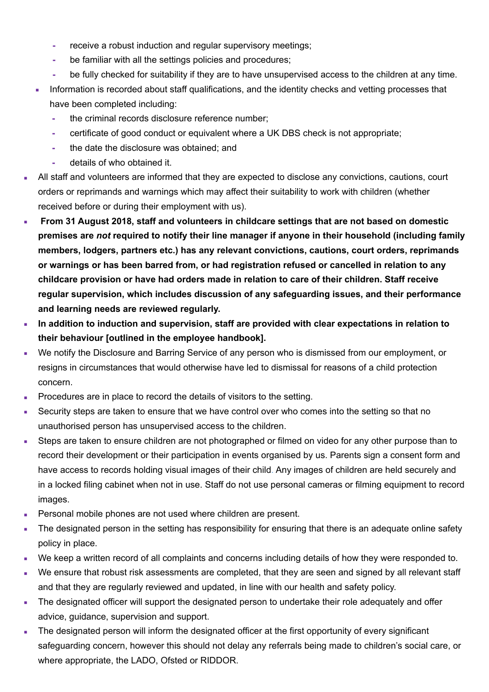- **-** receive a robust induction and regular supervisory meetings;
- **-** be familiar with all the settings policies and procedures;
- **-** be fully checked for suitability if they are to have unsupervised access to the children at any time.
- **EXECT** Information is recorded about staff qualifications, and the identity checks and vetting processes that have been completed including:
	- **-** the criminal records disclosure reference number;
	- **-** certificate of good conduct or equivalent where a UK DBS check is not appropriate;
	- **-** the date the disclosure was obtained; and
	- **-** details of who obtained it.
- All staff and volunteers are informed that they are expected to disclose any convictions, cautions, court orders or reprimands and warnings which may affect their suitability to work with children (whether received before or during their employment with us).
- ▪ **From 31 August 2018, staff and volunteers in childcare settings that are not based on domestic premises are** *not* **required to notify their line manager if anyone in their household (including family members, lodgers, partners etc.) has any relevant convictions, cautions, court orders, reprimands or warnings or has been barred from, or had registration refused or cancelled in relation to any childcare provision or have had orders made in relation to care of their children. Staff receive regular supervision, which includes discussion of any safeguarding issues, and their performance and learning needs are reviewed regularly.**
- **EXEDENTIFY In addition to induction and supervision, staff are provided with clear expectations in relation to their behaviour [outlined in the employee handbook].**
- We notify the Disclosure and Barring Service of any person who is dismissed from our employment, or resigns in circumstances that would otherwise have led to dismissal for reasons of a child protection concern.
- Procedures are in place to record the details of visitors to the setting.
- Security steps are taken to ensure that we have control over who comes into the setting so that no unauthorised person has unsupervised access to the children.
- Steps are taken to ensure children are not photographed or filmed on video for any other purpose than to record their development or their participation in events organised by us. Parents sign a consent form and have access to records holding visual images of their child. Any images of children are held securely and in a locked filing cabinet when not in use. Staff do not use personal cameras or filming equipment to record images.
- **Personal mobile phones are not used where children are present.**
- The designated person in the setting has responsibility for ensuring that there is an adequate online safety policy in place.
- We keep a written record of all complaints and concerns including details of how they were responded to.
- We ensure that robust risk assessments are completed, that they are seen and signed by all relevant staff and that they are regularly reviewed and updated, in line with our health and safety policy.
- The designated officer will support the designated person to undertake their role adequately and offer advice, guidance, supervision and support.
- The designated person will inform the designated officer at the first opportunity of every significant safeguarding concern, however this should not delay any referrals being made to children's social care, or where appropriate, the LADO, Ofsted or RIDDOR.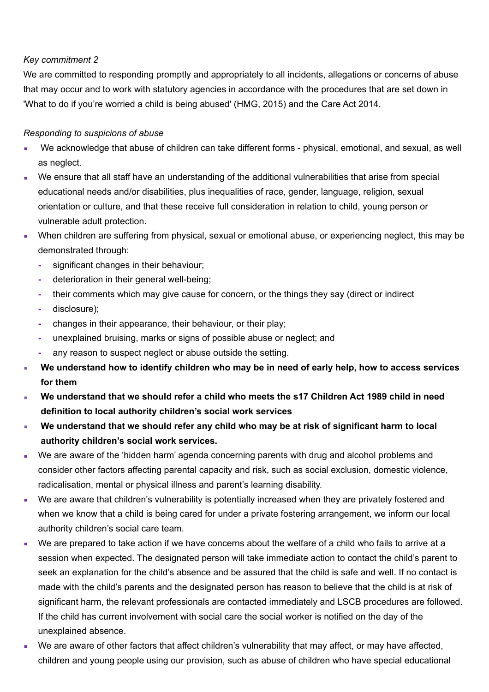# *Key commitment 2*

We are committed to responding promptly and appropriately to all incidents, allegations or concerns of abuse that may occur and to work with statutory agencies in accordance with the procedures that are set down in 'What to do if you're worried a child is being abused' (HMG, 2015) and the Care Act 2014.

# *Responding to suspicions of abuse*

- We acknowledge that abuse of children can take different forms physical, emotional, and sexual, as well as neglect.
- We ensure that all staff have an understanding of the additional vulnerabilities that arise from special educational needs and/or disabilities, plus inequalities of race, gender, language, religion, sexual orientation or culture, and that these receive full consideration in relation to child, young person or vulnerable adult protection.
- **When children are suffering from physical, sexual or emotional abuse, or experiencing neglect, this may be** demonstrated through:
	- **-** significant changes in their behaviour;
	- **-** deterioration in their general well-being;
	- **-** their comments which may give cause for concern, or the things they say (direct or indirect
	- **-** disclosure);
	- **-** changes in their appearance, their behaviour, or their play;
	- **-** unexplained bruising, marks or signs of possible abuse or neglect; and
	- **-** any reason to suspect neglect or abuse outside the setting.
- We understand how to identify children who may be in need of early help, how to access services **for them**
- We understand that we should refer a child who meets the s17 Children Act 1989 child in need **definition to local authority children's social work services**
- We understand that we should refer any child who may be at risk of significant harm to local **authority children's social work services.**
- We are aware of the 'hidden harm' agenda concerning parents with drug and alcohol problems and consider other factors affecting parental capacity and risk, such as social exclusion, domestic violence, radicalisation, mental or physical illness and parent's learning disability.
- We are aware that children's vulnerability is potentially increased when they are privately fostered and when we know that a child is being cared for under a private fostering arrangement, we inform our local authority children's social care team.
- We are prepared to take action if we have concerns about the welfare of a child who fails to arrive at a session when expected. The designated person will take immediate action to contact the child's parent to seek an explanation for the child's absence and be assured that the child is safe and well. If no contact is made with the child's parents and the designated person has reason to believe that the child is at risk of significant harm, the relevant professionals are contacted immediately and LSCB procedures are followed. If the child has current involvement with social care the social worker is notified on the day of the unexplained absence.
- We are aware of other factors that affect children's vulnerability that may affect, or may have affected, children and young people using our provision, such as abuse of children who have special educational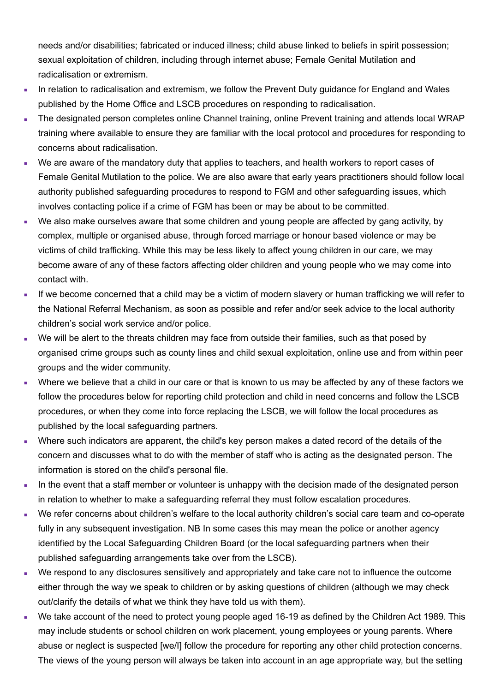needs and/or disabilities; fabricated or induced illness; child abuse linked to beliefs in spirit possession; sexual exploitation of children, including through internet abuse; Female Genital Mutilation and radicalisation or extremism.

- In relation to radicalisation and extremism, we follow the Prevent Duty guidance for England and Wales published by the Home Office and LSCB procedures on responding to radicalisation.
- The designated person completes online Channel training, online Prevent training and attends local WRAP training where available to ensure they are familiar with the local protocol and procedures for responding to concerns about radicalisation.
- We are aware of the mandatory duty that applies to teachers, and health workers to report cases of Female Genital Mutilation to the police. We are also aware that early years practitioners should follow local authority published safeguarding procedures to respond to FGM and other safeguarding issues, which involves contacting police if a crime of FGM has been or may be about to be committed.
- We also make ourselves aware that some children and young people are affected by gang activity, by complex, multiple or organised abuse, through forced marriage or honour based violence or may be victims of child trafficking. While this may be less likely to affect young children in our care, we may become aware of any of these factors affecting older children and young people who we may come into contact with.
- If we become concerned that a child may be a victim of modern slavery or human trafficking we will refer to the National Referral Mechanism, as soon as possible and refer and/or seek advice to the local authority children's social work service and/or police.
- We will be alert to the threats children may face from outside their families, such as that posed by organised crime groups such as county lines and child sexual exploitation, online use and from within peer groups and the wider community.
- Where we believe that a child in our care or that is known to us may be affected by any of these factors we follow the procedures below for reporting child protection and child in need concerns and follow the LSCB procedures, or when they come into force replacing the LSCB, we will follow the local procedures as published by the local safeguarding partners.
- Where such indicators are apparent, the child's key person makes a dated record of the details of the concern and discusses what to do with the member of staff who is acting as the designated person. The information is stored on the child's personal file.
- **•** In the event that a staff member or volunteer is unhappy with the decision made of the designated person in relation to whether to make a safeguarding referral they must follow escalation procedures.
- We refer concerns about children's welfare to the local authority children's social care team and co-operate fully in any subsequent investigation. NB In some cases this may mean the police or another agency identified by the Local Safeguarding Children Board (or the local safeguarding partners when their published safeguarding arrangements take over from the LSCB).
- We respond to any disclosures sensitively and appropriately and take care not to influence the outcome either through the way we speak to children or by asking questions of children (although we may check out/clarify the details of what we think they have told us with them).
- We take account of the need to protect young people aged 16-19 as defined by the Children Act 1989. This may include students or school children on work placement, young employees or young parents. Where abuse or neglect is suspected [we/I] follow the procedure for reporting any other child protection concerns. The views of the young person will always be taken into account in an age appropriate way, but the setting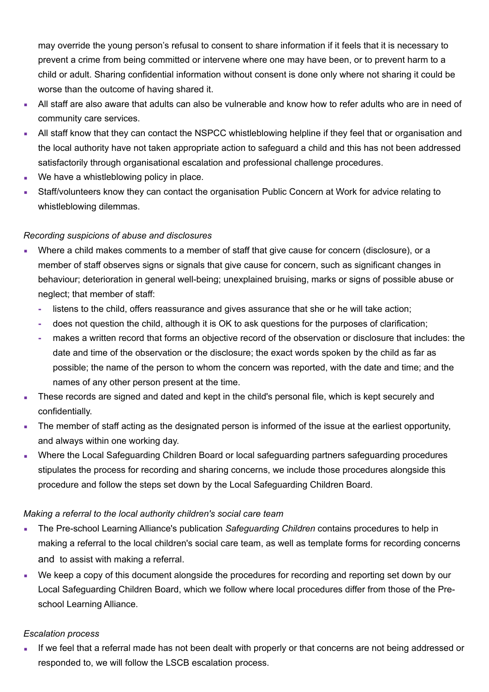may override the young person's refusal to consent to share information if it feels that it is necessary to prevent a crime from being committed or intervene where one may have been, or to prevent harm to a child or adult. Sharing confidential information without consent is done only where not sharing it could be worse than the outcome of having shared it.

- All staff are also aware that adults can also be vulnerable and know how to refer adults who are in need of community care services.
- All staff know that they can contact the NSPCC whistleblowing helpline if they feel that or organisation and the local authority have not taken appropriate action to safeguard a child and this has not been addressed satisfactorily through organisational escalation and professional challenge procedures.
- We have a whistleblowing policy in place.
- **EXECT:** Staff/volunteers know they can contact the organisation Public Concern at Work for advice relating to whistleblowing dilemmas.

#### *Recording suspicions of abuse and disclosures*

- Where a child makes comments to a member of staff that give cause for concern (disclosure), or a member of staff observes signs or signals that give cause for concern, such as significant changes in behaviour; deterioration in general well-being; unexplained bruising, marks or signs of possible abuse or neglect; that member of staff:
	- **-** listens to the child, offers reassurance and gives assurance that she or he will take action;
	- **-** does not question the child, although it is OK to ask questions for the purposes of clarification;
	- **-** makes a written record that forms an objective record of the observation or disclosure that includes: the date and time of the observation or the disclosure; the exact words spoken by the child as far as possible; the name of the person to whom the concern was reported, with the date and time; and the names of any other person present at the time.
- These records are signed and dated and kept in the child's personal file, which is kept securely and confidentially.
- The member of staff acting as the designated person is informed of the issue at the earliest opportunity, and always within one working day.
- **Where the Local Safeguarding Children Board or local safeguarding partners safeguarding procedures** stipulates the process for recording and sharing concerns, we include those procedures alongside this procedure and follow the steps set down by the Local Safeguarding Children Board.

#### *Making a referral to the local authority children's social care team*

- **EXECT** The Pre-school Learning Alliance's publication *Safeguarding Children* contains procedures to help in making a referral to the local children's social care team, as well as template forms for recording concerns and to assist with making a referral.
- We keep a copy of this document alongside the procedures for recording and reporting set down by our Local Safeguarding Children Board, which we follow where local procedures differ from those of the Preschool Learning Alliance.

#### *Escalation process*

If we feel that a referral made has not been dealt with properly or that concerns are not being addressed or responded to, we will follow the LSCB escalation process.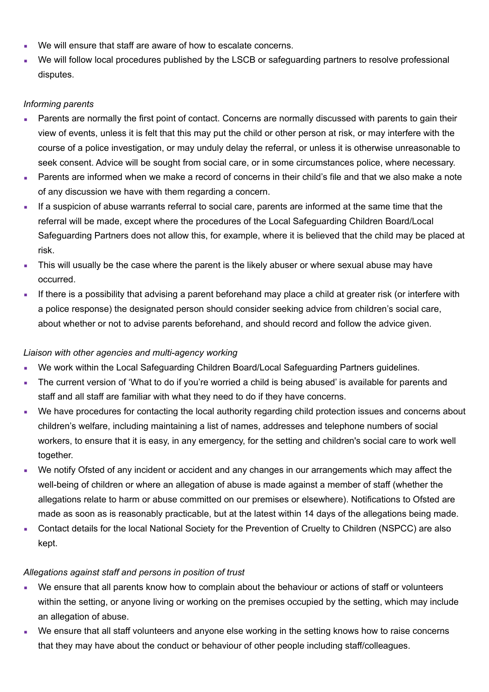- We will ensure that staff are aware of how to escalate concerns.
- We will follow local procedures published by the LSCB or safeguarding partners to resolve professional disputes.

# *Informing parents*

- Parents are normally the first point of contact. Concerns are normally discussed with parents to gain their view of events, unless it is felt that this may put the child or other person at risk, or may interfere with the course of a police investigation, or may unduly delay the referral, or unless it is otherwise unreasonable to seek consent. Advice will be sought from social care, or in some circumstances police, where necessary.
- Parents are informed when we make a record of concerns in their child's file and that we also make a note of any discussion we have with them regarding a concern.
- **.** If a suspicion of abuse warrants referral to social care, parents are informed at the same time that the referral will be made, except where the procedures of the Local Safeguarding Children Board/Local Safeguarding Partners does not allow this, for example, where it is believed that the child may be placed at risk.
- This will usually be the case where the parent is the likely abuser or where sexual abuse may have occurred.
- If there is a possibility that advising a parent beforehand may place a child at greater risk (or interfere with a police response) the designated person should consider seeking advice from children's social care, about whether or not to advise parents beforehand, and should record and follow the advice given.

#### *Liaison with other agencies and multi-agency working*

- We work within the Local Safeguarding Children Board/Local Safeguarding Partners guidelines.
- The current version of 'What to do if you're worried a child is being abused' is available for parents and staff and all staff are familiar with what they need to do if they have concerns.
- We have procedures for contacting the local authority regarding child protection issues and concerns about children's welfare, including maintaining a list of names, addresses and telephone numbers of social workers, to ensure that it is easy, in any emergency, for the setting and children's social care to work well together.
- We notify Ofsted of any incident or accident and any changes in our arrangements which may affect the well-being of children or where an allegation of abuse is made against a member of staff (whether the allegations relate to harm or abuse committed on our premises or elsewhere). Notifications to Ofsted are made as soon as is reasonably practicable, but at the latest within 14 days of the allegations being made.
- Contact details for the local National Society for the Prevention of Cruelty to Children (NSPCC) are also kept.

# *Allegations against staff and persons in position of trust*

- We ensure that all parents know how to complain about the behaviour or actions of staff or volunteers within the setting, or anyone living or working on the premises occupied by the setting, which may include an allegation of abuse.
- We ensure that all staff volunteers and anyone else working in the setting knows how to raise concerns that they may have about the conduct or behaviour of other people including staff/colleagues.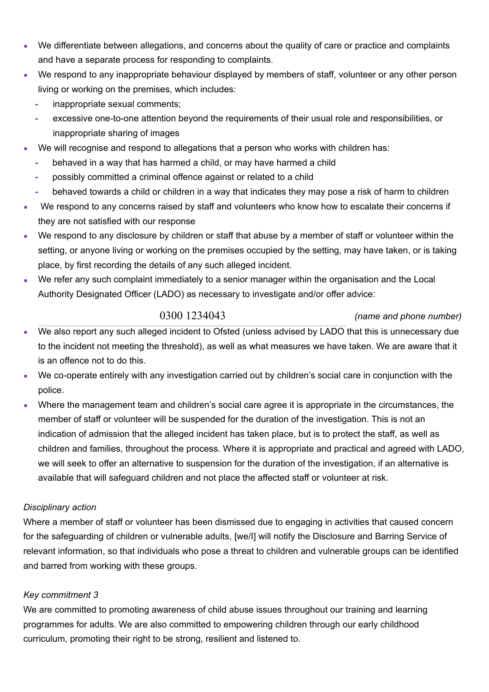- We differentiate between allegations, and concerns about the quality of care or practice and complaints and have a separate process for responding to complaints.
- We respond to any inappropriate behaviour displayed by members of staff, volunteer or any other person living or working on the premises, which includes:
	- **-** inappropriate sexual comments;
	- **-** excessive one-to-one attention beyond the requirements of their usual role and responsibilities, or inappropriate sharing of images
- We will recognise and respond to allegations that a person who works with children has:
	- **-** behaved in a way that has harmed a child, or may have harmed a child
	- **-** possibly committed a criminal offence against or related to a child
	- **-** behaved towards a child or children in a way that indicates they may pose a risk of harm to children
- We respond to any concerns raised by staff and volunteers who know how to escalate their concerns if they are not satisfied with our response
- We respond to any disclosure by children or staff that abuse by a member of staff or volunteer within the setting, or anyone living or working on the premises occupied by the setting, may have taken, or is taking place, by first recording the details of any such alleged incident.
- We refer any such complaint immediately to a senior manager within the organisation and the Local Authority Designated Officer (LADO) as necessary to investigate and/or offer advice:

0300 1234043 *(name and phone number)*

- We also report any such alleged incident to Ofsted (unless advised by LADO that this is unnecessary due to the incident not meeting the threshold), as well as what measures we have taken. We are aware that it is an offence not to do this.
- We co-operate entirely with any investigation carried out by children's social care in conjunction with the police.
- Where the management team and children's social care agree it is appropriate in the circumstances, the member of staff or volunteer will be suspended for the duration of the investigation. This is not an indication of admission that the alleged incident has taken place, but is to protect the staff, as well as children and families, throughout the process. Where it is appropriate and practical and agreed with LADO, we will seek to offer an alternative to suspension for the duration of the investigation, if an alternative is available that will safeguard children and not place the affected staff or volunteer at risk.

#### *Disciplinary action*

Where a member of staff or volunteer has been dismissed due to engaging in activities that caused concern for the safeguarding of children or vulnerable adults, [we/I] will notify the Disclosure and Barring Service of relevant information, so that individuals who pose a threat to children and vulnerable groups can be identified and barred from working with these groups.

# *Key commitment 3*

We are committed to promoting awareness of child abuse issues throughout our training and learning programmes for adults. We are also committed to empowering children through our early childhood curriculum, promoting their right to be strong, resilient and listened to.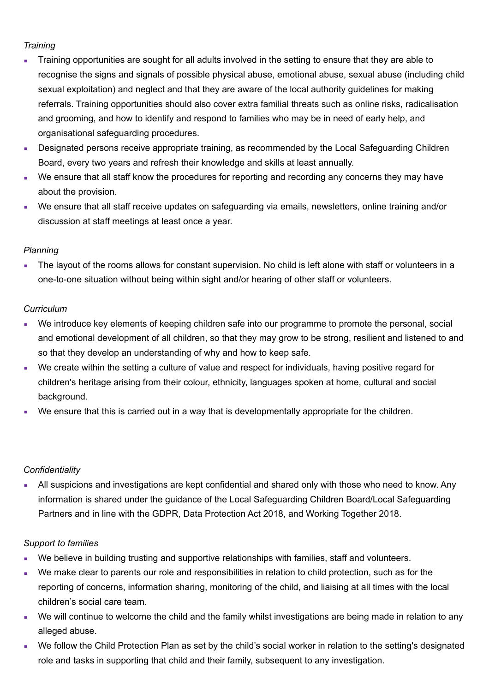# *Training*

- Training opportunities are sought for all adults involved in the setting to ensure that they are able to recognise the signs and signals of possible physical abuse, emotional abuse, sexual abuse (including child sexual exploitation) and neglect and that they are aware of the local authority guidelines for making referrals. Training opportunities should also cover extra familial threats such as online risks, radicalisation and grooming, and how to identify and respond to families who may be in need of early help, and organisational safeguarding procedures.
- Designated persons receive appropriate training, as recommended by the Local Safeguarding Children Board, every two years and refresh their knowledge and skills at least annually.
- We ensure that all staff know the procedures for reporting and recording any concerns they may have about the provision.
- We ensure that all staff receive updates on safeguarding via emails, newsletters, online training and/or discussion at staff meetings at least once a year.

# *Planning*

The layout of the rooms allows for constant supervision. No child is left alone with staff or volunteers in a one-to-one situation without being within sight and/or hearing of other staff or volunteers.

# *Curriculum*

- We introduce key elements of keeping children safe into our programme to promote the personal, social and emotional development of all children, so that they may grow to be strong, resilient and listened to and so that they develop an understanding of why and how to keep safe.
- We create within the setting a culture of value and respect for individuals, having positive regard for children's heritage arising from their colour, ethnicity, languages spoken at home, cultural and social background.
- We ensure that this is carried out in a way that is developmentally appropriate for the children.

#### *Confidentiality*

All suspicions and investigations are kept confidential and shared only with those who need to know. Any information is shared under the guidance of the Local Safeguarding Children Board/Local Safeguarding Partners and in line with the GDPR, Data Protection Act 2018, and Working Together 2018.

# *Support to families*

- We believe in building trusting and supportive relationships with families, staff and volunteers.
- We make clear to parents our role and responsibilities in relation to child protection, such as for the reporting of concerns, information sharing, monitoring of the child, and liaising at all times with the local children's social care team.
- We will continue to welcome the child and the family whilst investigations are being made in relation to any alleged abuse.
- We follow the Child Protection Plan as set by the child's social worker in relation to the setting's designated role and tasks in supporting that child and their family, subsequent to any investigation.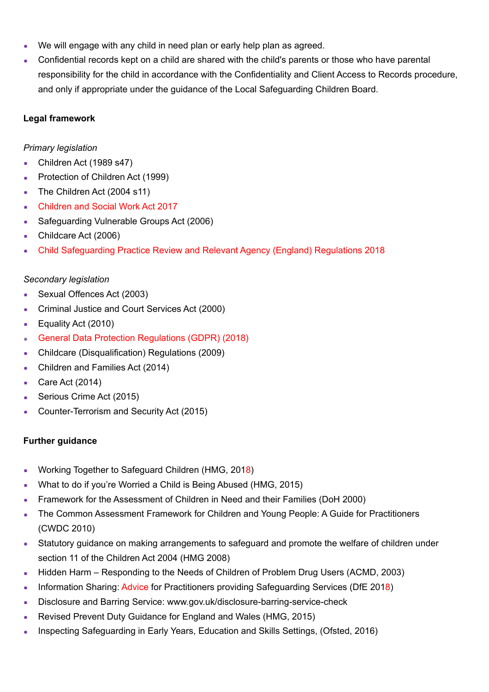- We will engage with any child in need plan or early help plan as agreed.
- Confidential records kept on a child are shared with the child's parents or those who have parental responsibility for the child in accordance with the Confidentiality and Client Access to Records procedure, and only if appropriate under the guidance of the Local Safeguarding Children Board.

### **Legal framework**

### *Primary legislation*

- Children Act (1989 s47)
- Protection of Children Act (1999)
- **•** The Children Act (2004 s11)
- Children and Social Work Act 2017
- Safeguarding Vulnerable Groups Act (2006)
- Childcare Act (2006)
- Child Safeguarding Practice Review and Relevant Agency (England) Regulations 2018

#### *Secondary legislation*

- Sexual Offences Act (2003)
- Criminal Justice and Court Services Act (2000)
- **Equality Act (2010)**
- General Data Protection Regulations (GDPR) (2018)
- Childcare (Disqualification) Regulations (2009)
- Children and Families Act (2014)
- $\blacksquare$  Care Act (2014)
- Serious Crime Act (2015)
- Counter-Terrorism and Security Act (2015)

#### **Further guidance**

- Working Together to Safeguard Children (HMG, 2018)
- What to do if you're Worried a Child is Being Abused (HMG, 2015)
- Framework for the Assessment of Children in Need and their Families (DoH 2000)
- The Common Assessment Framework for Children and Young People: A Guide for Practitioners (CWDC 2010)
- **EXECT AT Statutory guidance on making arrangements to safeguard and promote the welfare of children under** section 11 of the Children Act 2004 (HMG 2008)
- Hidden Harm Responding to the Needs of Children of Problem Drug Users (ACMD, 2003)
- Information Sharing: Advice for Practitioners providing Safeguarding Services (DfE 2018)
- Disclosure and Barring Service: [www.gov.uk/disclosure-barring-service-check](http://www.gov.uk/disclosure-barring-service-check)
- Revised Prevent Duty Guidance for England and Wales (HMG, 2015)
- Inspecting Safeguarding in Early Years, Education and Skills Settings, (Ofsted, 2016)